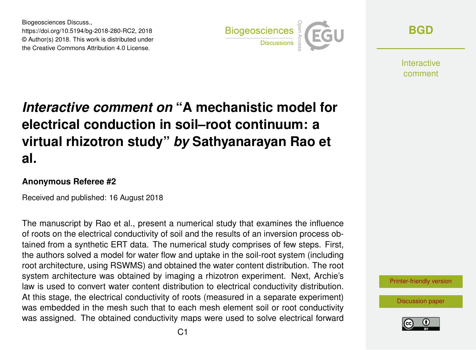Biogeosciences Discuss., https://doi.org/10.5194/bg-2018-280-RC2, 2018 © Author(s) 2018. This work is distributed under the Creative Commons Attribution 4.0 License.



**[BGD](https://www.biogeosciences-discuss.net/)**

**Interactive** comment

## *Interactive comment on* **"A mechanistic model for electrical conduction in soil–root continuum: a virtual rhizotron study"** *by* **Sathyanarayan Rao et al.**

## **Anonymous Referee #2**

Received and published: 16 August 2018

The manuscript by Rao et al., present a numerical study that examines the influence of roots on the electrical conductivity of soil and the results of an inversion process obtained from a synthetic ERT data. The numerical study comprises of few steps. First, the authors solved a model for water flow and uptake in the soil-root system (including root architecture, using RSWMS) and obtained the water content distribution. The root system architecture was obtained by imaging a rhizotron experiment. Next, Archie's law is used to convert water content distribution to electrical conductivity distribution. At this stage, the electrical conductivity of roots (measured in a separate experiment) was embedded in the mesh such that to each mesh element soil or root conductivity was assigned. The obtained conductivity maps were used to solve electrical forward

[Printer-friendly version](https://www.biogeosciences-discuss.net/bg-2018-280/bg-2018-280-RC2-print.pdf)

[Discussion paper](https://www.biogeosciences-discuss.net/bg-2018-280)

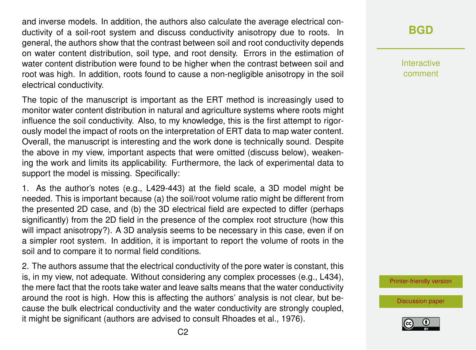and inverse models. In addition, the authors also calculate the average electrical conductivity of a soil-root system and discuss conductivity anisotropy due to roots. In general, the authors show that the contrast between soil and root conductivity depends on water content distribution, soil type, and root density. Errors in the estimation of water content distribution were found to be higher when the contrast between soil and root was high. In addition, roots found to cause a non-negligible anisotropy in the soil electrical conductivity.

The topic of the manuscript is important as the ERT method is increasingly used to monitor water content distribution in natural and agriculture systems where roots might influence the soil conductivity. Also, to my knowledge, this is the first attempt to rigorously model the impact of roots on the interpretation of ERT data to map water content. Overall, the manuscript is interesting and the work done is technically sound. Despite the above in my view, important aspects that were omitted (discuss below), weakening the work and limits its applicability. Furthermore, the lack of experimental data to support the model is missing. Specifically:

1. As the author's notes (e.g., L429-443) at the field scale, a 3D model might be needed. This is important because (a) the soil/root volume ratio might be different from the presented 2D case, and (b) the 3D electrical field are expected to differ (perhaps significantly) from the 2D field in the presence of the complex root structure (how this will impact anisotropy?). A 3D analysis seems to be necessary in this case, even if on a simpler root system. In addition, it is important to report the volume of roots in the soil and to compare it to normal field conditions.

2. The authors assume that the electrical conductivity of the pore water is constant, this is, in my view, not adequate. Without considering any complex processes (e.g., L434), the mere fact that the roots take water and leave salts means that the water conductivity around the root is high. How this is affecting the authors' analysis is not clear, but because the bulk electrical conductivity and the water conductivity are strongly coupled, it might be significant (authors are advised to consult Rhoades et al., 1976).

**[BGD](https://www.biogeosciences-discuss.net/)**

Interactive comment

[Printer-friendly version](https://www.biogeosciences-discuss.net/bg-2018-280/bg-2018-280-RC2-print.pdf)

[Discussion paper](https://www.biogeosciences-discuss.net/bg-2018-280)